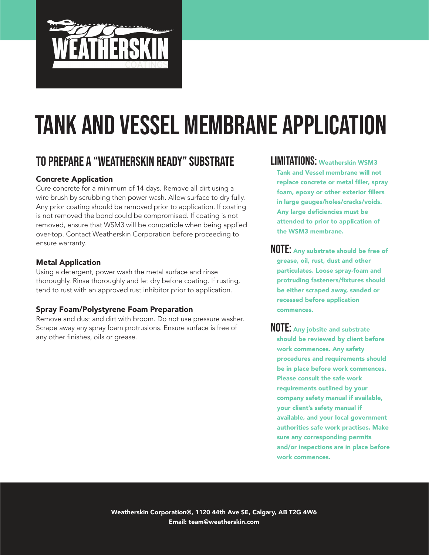

# To Prepare a "Weatherskin Ready" Substrate

### Concrete Application

Cure concrete for a minimum of 14 days. Remove all dirt using a wire brush by scrubbing then power wash. Allow surface to dry fully. Any prior coating should be removed prior to application. If coating is not removed the bond could be compromised. If coating is not removed, ensure that WSM3 will be compatible when being applied over-top. Contact Weatherskin Corporation before proceeding to ensure warranty.

#### Metal Application

Using a detergent, power wash the metal surface and rinse thoroughly. Rinse thoroughly and let dry before coating. If rusting, tend to rust with an approved rust inhibitor prior to application.

#### Spray Foam/Polystyrene Foam Preparation

Remove and dust and dirt with broom. Do not use pressure washer. Scrape away any spray foam protrusions. Ensure surface is free of any other finishes, oils or grease.

LIMITATIONS: Weatherskin WSM3 Tank and Vessel membrane will not replace concrete or metal filler, spray foam, epoxy or other exterior fillers in large gauges/holes/cracks/voids. Any large deficiencies must be attended to prior to application of the WSM3 membrane.

NOTE: Any substrate should be free of grease, oil, rust, dust and other particulates. Loose spray-foam and protruding fasteners/fixtures should be either scraped away, sanded or recessed before application commences.

NOTE: Any jobsite and substrate should be reviewed by client before work commences. Any safety procedures and requirements should be in place before work commences. Please consult the safe work requirements outlined by your company safety manual if available, your client's safety manual if available, and your local government authorities safe work practises. Make sure any corresponding permits and/or inspections are in place before work commences.